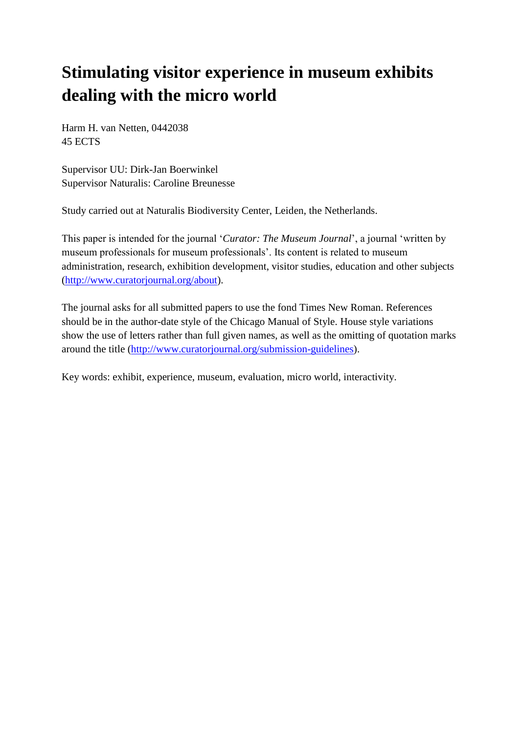# **Stimulating visitor experience in museum exhibits dealing with the micro world**

Harm H. van Netten, 0442038 45 ECTS

Supervisor UU: Dirk-Jan Boerwinkel Supervisor Naturalis: Caroline Breunesse

Study carried out at Naturalis Biodiversity Center, Leiden, the Netherlands.

This paper is intended for the journal '*Curator: The Museum Journal*', a journal 'written by museum professionals for museum professionals'. Its content is related to museum administration, research, exhibition development, visitor studies, education and other subjects [\(http://www.curatorjournal.org/about\)](http://www.curatorjournal.org/about).

The journal asks for all submitted papers to use the fond Times New Roman. References should be in the author-date style of the Chicago Manual of Style. House style variations show the use of letters rather than full given names, as well as the omitting of quotation marks around the title [\(http://www.curatorjournal.org/submission-guidelines\)](http://www.curatorjournal.org/submission-guidelines).

Key words: exhibit, experience, museum, evaluation, micro world, interactivity.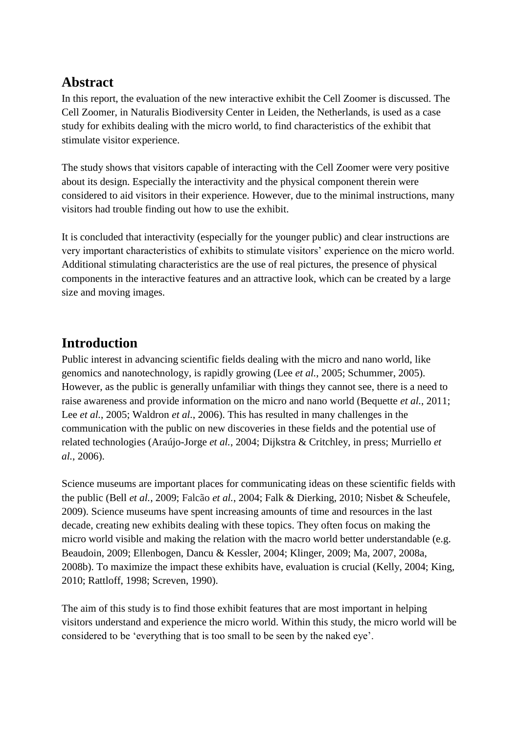# **Abstract**

In this report, the evaluation of the new interactive exhibit the Cell Zoomer is discussed. The Cell Zoomer, in Naturalis Biodiversity Center in Leiden, the Netherlands, is used as a case study for exhibits dealing with the micro world, to find characteristics of the exhibit that stimulate visitor experience.

The study shows that visitors capable of interacting with the Cell Zoomer were very positive about its design. Especially the interactivity and the physical component therein were considered to aid visitors in their experience. However, due to the minimal instructions, many visitors had trouble finding out how to use the exhibit.

It is concluded that interactivity (especially for the younger public) and clear instructions are very important characteristics of exhibits to stimulate visitors' experience on the micro world. Additional stimulating characteristics are the use of real pictures, the presence of physical components in the interactive features and an attractive look, which can be created by a large size and moving images.

# **Introduction**

Public interest in advancing scientific fields dealing with the micro and nano world, like genomics and nanotechnology, is rapidly growing (Lee *et al.*, 2005; Schummer, 2005). However, as the public is generally unfamiliar with things they cannot see, there is a need to raise awareness and provide information on the micro and nano world (Bequette *et al.*, 2011; Lee *et al.*, 2005; Waldron *et al.*, 2006). This has resulted in many challenges in the communication with the public on new discoveries in these fields and the potential use of related technologies (Araújo-Jorge *et al.*, 2004; Dijkstra & Critchley, in press; Murriello *et al.*, 2006).

Science museums are important places for communicating ideas on these scientific fields with the public (Bell *et al.*, 2009; Falcão *et al.*, 2004; Falk & Dierking, 2010; Nisbet & Scheufele, 2009). Science museums have spent increasing amounts of time and resources in the last decade, creating new exhibits dealing with these topics. They often focus on making the micro world visible and making the relation with the macro world better understandable (e.g. Beaudoin, 2009; Ellenbogen, Dancu & Kessler, 2004; Klinger, 2009; Ma, 2007, 2008a, 2008b). To maximize the impact these exhibits have, evaluation is crucial (Kelly, 2004; King, 2010; Rattloff, 1998; Screven, 1990).

The aim of this study is to find those exhibit features that are most important in helping visitors understand and experience the micro world. Within this study, the micro world will be considered to be 'everything that is too small to be seen by the naked eye'.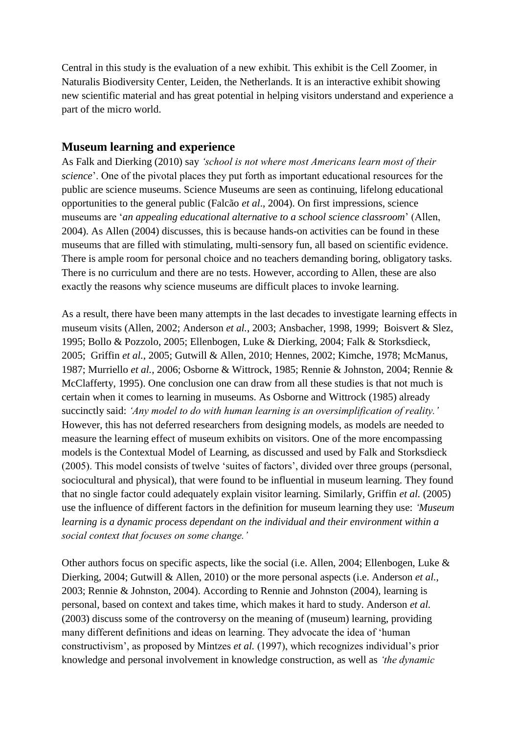Central in this study is the evaluation of a new exhibit. This exhibit is the Cell Zoomer, in Naturalis Biodiversity Center, Leiden, the Netherlands. It is an interactive exhibit showing new scientific material and has great potential in helping visitors understand and experience a part of the micro world.

### **Museum learning and experience**

As Falk and Dierking (2010) say *'school is not where most Americans learn most of their science*'. One of the pivotal places they put forth as important educational resources for the public are science museums. Science Museums are seen as continuing, lifelong educational opportunities to the general public (Falcão *et al*., 2004). On first impressions, science museums are '*an appealing educational alternative to a school science classroom*' (Allen, 2004). As Allen (2004) discusses, this is because hands-on activities can be found in these museums that are filled with stimulating, multi-sensory fun, all based on scientific evidence. There is ample room for personal choice and no teachers demanding boring, obligatory tasks. There is no curriculum and there are no tests. However, according to Allen, these are also exactly the reasons why science museums are difficult places to invoke learning.

As a result, there have been many attempts in the last decades to investigate learning effects in museum visits (Allen, 2002; Anderson *et al.*, 2003; Ansbacher, 1998, 1999; Boisvert & Slez, 1995; Bollo & Pozzolo, 2005; Ellenbogen, Luke & Dierking, 2004; Falk & Storksdieck, 2005; Griffin *et al.*, 2005; Gutwill & Allen, 2010; Hennes, 2002; Kimche, 1978; McManus, 1987; Murriello *et al.*, 2006; Osborne & Wittrock, 1985; Rennie & Johnston, 2004; Rennie & McClafferty, 1995). One conclusion one can draw from all these studies is that not much is certain when it comes to learning in museums. As Osborne and Wittrock (1985) already succinctly said: *'Any model to do with human learning is an oversimplification of reality.'*  However, this has not deferred researchers from designing models, as models are needed to measure the learning effect of museum exhibits on visitors. One of the more encompassing models is the Contextual Model of Learning, as discussed and used by Falk and Storksdieck (2005). This model consists of twelve 'suites of factors', divided over three groups (personal, sociocultural and physical), that were found to be influential in museum learning. They found that no single factor could adequately explain visitor learning. Similarly, Griffin *et al.* (2005) use the influence of different factors in the definition for museum learning they use: *'Museum learning is a dynamic process dependant on the individual and their environment within a social context that focuses on some change.'*

Other authors focus on specific aspects, like the social (i.e. Allen, 2004; Ellenbogen, Luke & Dierking, 2004; Gutwill & Allen, 2010) or the more personal aspects (i.e. Anderson *et al.*, 2003; Rennie & Johnston, 2004). According to Rennie and Johnston (2004), learning is personal, based on context and takes time, which makes it hard to study. Anderson *et al.* (2003) discuss some of the controversy on the meaning of (museum) learning, providing many different definitions and ideas on learning. They advocate the idea of 'human constructivism', as proposed by Mintzes *et al.* (1997), which recognizes individual's prior knowledge and personal involvement in knowledge construction, as well as *'the dynamic*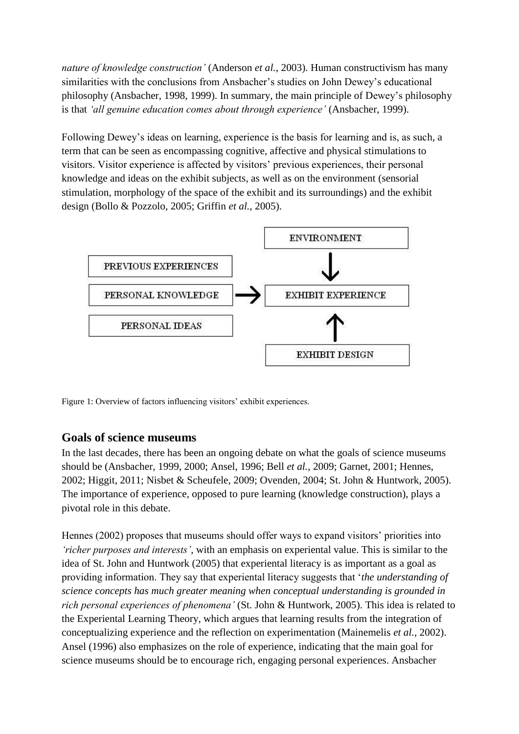*nature of knowledge construction'* (Anderson *et al.*, 2003). Human constructivism has many similarities with the conclusions from Ansbacher's studies on John Dewey's educational philosophy (Ansbacher, 1998, 1999). In summary, the main principle of Dewey's philosophy is that *'all genuine education comes about through experience'* (Ansbacher, 1999).

Following Dewey's ideas on learning, experience is the basis for learning and is, as such, a term that can be seen as encompassing cognitive, affective and physical stimulations to visitors. Visitor experience is affected by visitors' previous experiences, their personal knowledge and ideas on the exhibit subjects, as well as on the environment (sensorial stimulation, morphology of the space of the exhibit and its surroundings) and the exhibit design (Bollo & Pozzolo, 2005; Griffin *et al.*, 2005).



Figure 1: Overview of factors influencing visitors' exhibit experiences.

### **Goals of science museums**

In the last decades, there has been an ongoing debate on what the goals of science museums should be (Ansbacher, 1999, 2000; Ansel, 1996; Bell *et al.*, 2009; Garnet, 2001; Hennes, 2002; Higgit, 2011; Nisbet & Scheufele, 2009; Ovenden, 2004; St. John & Huntwork, 2005). The importance of experience, opposed to pure learning (knowledge construction), plays a pivotal role in this debate.

Hennes (2002) proposes that museums should offer ways to expand visitors' priorities into *'richer purposes and interests'*, with an emphasis on experiental value. This is similar to the idea of St. John and Huntwork (2005) that experiental literacy is as important as a goal as providing information. They say that experiental literacy suggests that '*the understanding of science concepts has much greater meaning when conceptual understanding is grounded in rich personal experiences of phenomena'* (St. John & Huntwork, 2005). This idea is related to the Experiental Learning Theory, which argues that learning results from the integration of conceptualizing experience and the reflection on experimentation (Mainemelis *et al.*, 2002). Ansel (1996) also emphasizes on the role of experience, indicating that the main goal for science museums should be to encourage rich, engaging personal experiences. Ansbacher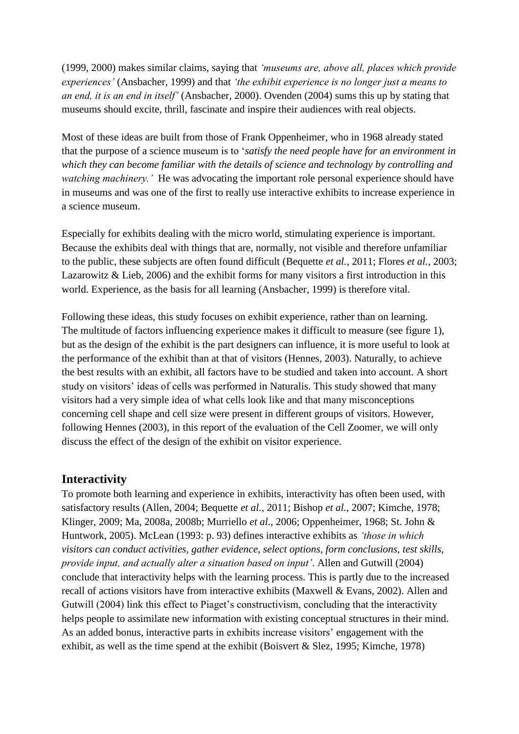(1999, 2000) makes similar claims, saying that *'museums are, above all, places which provide experiences'* (Ansbacher, 1999) and that *'the exhibit experience is no longer just a means to an end, it is an end in itself'* (Ansbacher, 2000). Ovenden (2004) sums this up by stating that museums should excite, thrill, fascinate and inspire their audiences with real objects.

Most of these ideas are built from those of Frank Oppenheimer, who in 1968 already stated that the purpose of a science museum is to '*satisfy the need people have for an environment in which they can become familiar with the details of science and technology by controlling and watching machinery.'* He was advocating the important role personal experience should have in museums and was one of the first to really use interactive exhibits to increase experience in a science museum.

Especially for exhibits dealing with the micro world, stimulating experience is important. Because the exhibits deal with things that are, normally, not visible and therefore unfamiliar to the public, these subjects are often found difficult (Bequette *et al.*, 2011; Flores *et al.*, 2003; Lazarowitz & Lieb, 2006) and the exhibit forms for many visitors a first introduction in this world. Experience, as the basis for all learning (Ansbacher, 1999) is therefore vital.

Following these ideas, this study focuses on exhibit experience, rather than on learning. The multitude of factors influencing experience makes it difficult to measure (see figure 1), but as the design of the exhibit is the part designers can influence, it is more useful to look at the performance of the exhibit than at that of visitors (Hennes, 2003). Naturally, to achieve the best results with an exhibit, all factors have to be studied and taken into account. A short study on visitors' ideas of cells was performed in Naturalis. This study showed that many visitors had a very simple idea of what cells look like and that many misconceptions concerning cell shape and cell size were present in different groups of visitors. However, following Hennes (2003), in this report of the evaluation of the Cell Zoomer, we will only discuss the effect of the design of the exhibit on visitor experience.

### **Interactivity**

To promote both learning and experience in exhibits, interactivity has often been used, with satisfactory results (Allen, 2004; Bequette *et al.*, 2011; Bishop *et al.*, 2007; Kimche, 1978; Klinger, 2009; Ma, 2008a, 2008b; Murriello *et al.*, 2006; Oppenheimer, 1968; St. John & Huntwork, 2005). McLean (1993: p. 93) defines interactive exhibits as *'those in which visitors can conduct activities, gather evidence, select options, form conclusions, test skills, provide input, and actually alter a situation based on input'*. Allen and Gutwill (2004) conclude that interactivity helps with the learning process. This is partly due to the increased recall of actions visitors have from interactive exhibits (Maxwell & Evans, 2002). Allen and Gutwill (2004) link this effect to Piaget's constructivism, concluding that the interactivity helps people to assimilate new information with existing conceptual structures in their mind. As an added bonus, interactive parts in exhibits increase visitors' engagement with the exhibit, as well as the time spend at the exhibit (Boisvert & Slez, 1995; Kimche, 1978)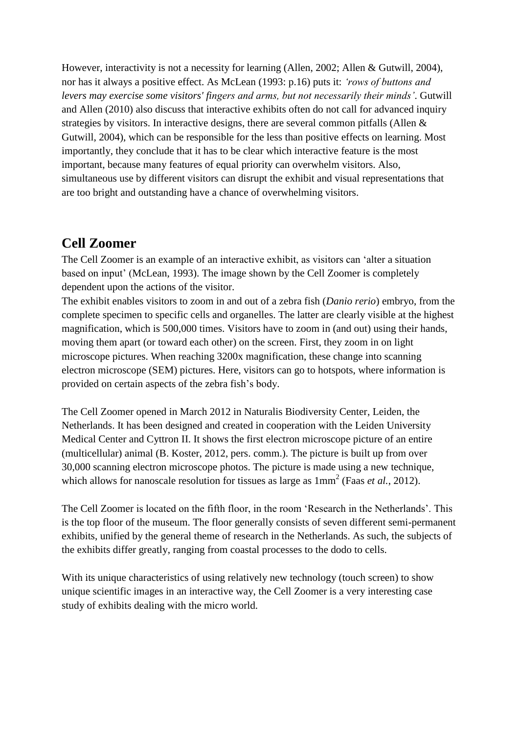However, interactivity is not a necessity for learning (Allen, 2002; Allen & Gutwill, 2004), nor has it always a positive effect. As McLean (1993: p.16) puts it: *'rows of buttons and levers may exercise some visitors' fingers and arms, but not necessarily their minds'*. Gutwill and Allen (2010) also discuss that interactive exhibits often do not call for advanced inquiry strategies by visitors. In interactive designs, there are several common pitfalls (Allen & Gutwill, 2004), which can be responsible for the less than positive effects on learning. Most importantly, they conclude that it has to be clear which interactive feature is the most important, because many features of equal priority can overwhelm visitors. Also, simultaneous use by different visitors can disrupt the exhibit and visual representations that are too bright and outstanding have a chance of overwhelming visitors.

# **Cell Zoomer**

The Cell Zoomer is an example of an interactive exhibit, as visitors can 'alter a situation based on input' (McLean, 1993). The image shown by the Cell Zoomer is completely dependent upon the actions of the visitor.

The exhibit enables visitors to zoom in and out of a zebra fish (*Danio rerio*) embryo, from the complete specimen to specific cells and organelles. The latter are clearly visible at the highest magnification, which is 500,000 times. Visitors have to zoom in (and out) using their hands, moving them apart (or toward each other) on the screen. First, they zoom in on light microscope pictures. When reaching 3200x magnification, these change into scanning electron microscope (SEM) pictures. Here, visitors can go to hotspots, where information is provided on certain aspects of the zebra fish's body.

The Cell Zoomer opened in March 2012 in Naturalis Biodiversity Center, Leiden, the Netherlands. It has been designed and created in cooperation with the Leiden University Medical Center and Cyttron II. It shows the first electron microscope picture of an entire (multicellular) animal (B. Koster, 2012, pers. comm.). The picture is built up from over 30,000 scanning electron microscope photos. The picture is made using a new technique, which allows for nanoscale resolution for tissues as large as  $1mm^2$  (Faas *et al.*, 2012).

The Cell Zoomer is located on the fifth floor, in the room 'Research in the Netherlands'. This is the top floor of the museum. The floor generally consists of seven different semi-permanent exhibits, unified by the general theme of research in the Netherlands. As such, the subjects of the exhibits differ greatly, ranging from coastal processes to the dodo to cells.

With its unique characteristics of using relatively new technology (touch screen) to show unique scientific images in an interactive way, the Cell Zoomer is a very interesting case study of exhibits dealing with the micro world.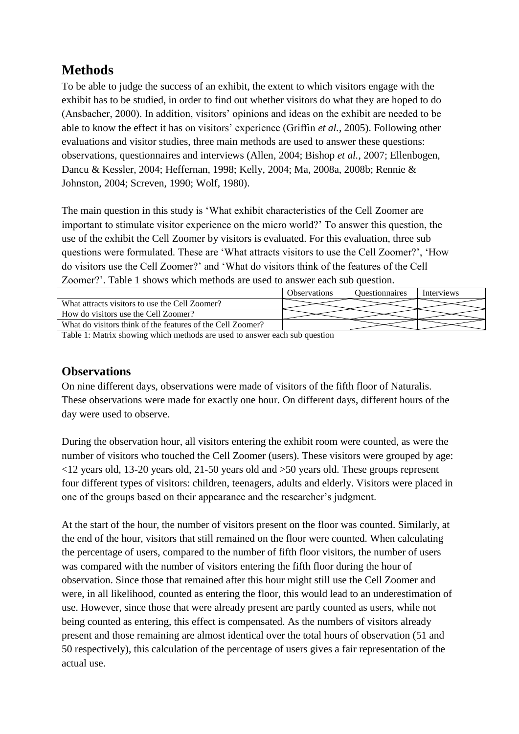# **Methods**

To be able to judge the success of an exhibit, the extent to which visitors engage with the exhibit has to be studied, in order to find out whether visitors do what they are hoped to do (Ansbacher, 2000). In addition, visitors' opinions and ideas on the exhibit are needed to be able to know the effect it has on visitors' experience (Griffin *et al.*, 2005). Following other evaluations and visitor studies, three main methods are used to answer these questions: observations, questionnaires and interviews (Allen, 2004; Bishop *et al.*, 2007; Ellenbogen, Dancu & Kessler, 2004; Heffernan, 1998; Kelly, 2004; Ma, 2008a, 2008b; Rennie & Johnston, 2004; Screven, 1990; Wolf, 1980).

The main question in this study is 'What exhibit characteristics of the Cell Zoomer are important to stimulate visitor experience on the micro world?' To answer this question, the use of the exhibit the Cell Zoomer by visitors is evaluated. For this evaluation, three sub questions were formulated. These are 'What attracts visitors to use the Cell Zoomer?', 'How do visitors use the Cell Zoomer?' and 'What do visitors think of the features of the Cell Zoomer?'. Table 1 shows which methods are used to answer each sub question.

|                                                            | <b>Observations</b> | <i><u><b>Ouestionnaires</b></u></i> | Interviews |
|------------------------------------------------------------|---------------------|-------------------------------------|------------|
| What attracts visitors to use the Cell Zoomer?             |                     |                                     |            |
| How do visitors use the Cell Zoomer?                       |                     |                                     |            |
| What do visitors think of the features of the Cell Zoomer? |                     |                                     |            |
| _                                                          |                     |                                     |            |

Table 1: Matrix showing which methods are used to answer each sub question

# **Observations**

On nine different days, observations were made of visitors of the fifth floor of Naturalis. These observations were made for exactly one hour. On different days, different hours of the day were used to observe.

During the observation hour, all visitors entering the exhibit room were counted, as were the number of visitors who touched the Cell Zoomer (users). These visitors were grouped by age: <12 years old, 13-20 years old, 21-50 years old and >50 years old. These groups represent four different types of visitors: children, teenagers, adults and elderly. Visitors were placed in one of the groups based on their appearance and the researcher's judgment.

At the start of the hour, the number of visitors present on the floor was counted. Similarly, at the end of the hour, visitors that still remained on the floor were counted. When calculating the percentage of users, compared to the number of fifth floor visitors, the number of users was compared with the number of visitors entering the fifth floor during the hour of observation. Since those that remained after this hour might still use the Cell Zoomer and were, in all likelihood, counted as entering the floor, this would lead to an underestimation of use. However, since those that were already present are partly counted as users, while not being counted as entering, this effect is compensated. As the numbers of visitors already present and those remaining are almost identical over the total hours of observation (51 and 50 respectively), this calculation of the percentage of users gives a fair representation of the actual use.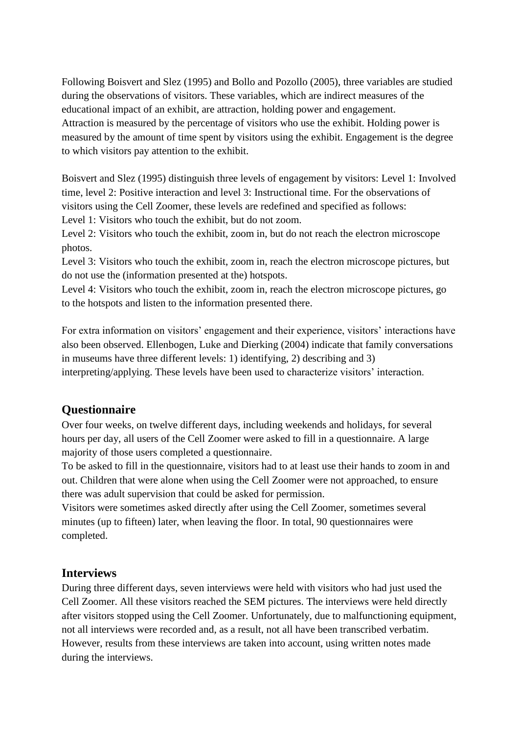Following Boisvert and Slez (1995) and Bollo and Pozollo (2005), three variables are studied during the observations of visitors. These variables, which are indirect measures of the educational impact of an exhibit, are attraction, holding power and engagement. Attraction is measured by the percentage of visitors who use the exhibit. Holding power is measured by the amount of time spent by visitors using the exhibit. Engagement is the degree to which visitors pay attention to the exhibit.

Boisvert and Slez (1995) distinguish three levels of engagement by visitors: Level 1: Involved time, level 2: Positive interaction and level 3: Instructional time. For the observations of visitors using the Cell Zoomer, these levels are redefined and specified as follows:

Level 1: Visitors who touch the exhibit, but do not zoom.

Level 2: Visitors who touch the exhibit, zoom in, but do not reach the electron microscope photos.

Level 3: Visitors who touch the exhibit, zoom in, reach the electron microscope pictures, but do not use the (information presented at the) hotspots.

Level 4: Visitors who touch the exhibit, zoom in, reach the electron microscope pictures, go to the hotspots and listen to the information presented there.

For extra information on visitors' engagement and their experience, visitors' interactions have also been observed. Ellenbogen, Luke and Dierking (2004) indicate that family conversations in museums have three different levels: 1) identifying, 2) describing and 3) interpreting/applying. These levels have been used to characterize visitors' interaction.

## **Questionnaire**

Over four weeks, on twelve different days, including weekends and holidays, for several hours per day, all users of the Cell Zoomer were asked to fill in a questionnaire. A large majority of those users completed a questionnaire.

To be asked to fill in the questionnaire, visitors had to at least use their hands to zoom in and out. Children that were alone when using the Cell Zoomer were not approached, to ensure there was adult supervision that could be asked for permission.

Visitors were sometimes asked directly after using the Cell Zoomer, sometimes several minutes (up to fifteen) later, when leaving the floor. In total, 90 questionnaires were completed.

## **Interviews**

During three different days, seven interviews were held with visitors who had just used the Cell Zoomer. All these visitors reached the SEM pictures. The interviews were held directly after visitors stopped using the Cell Zoomer. Unfortunately, due to malfunctioning equipment, not all interviews were recorded and, as a result, not all have been transcribed verbatim. However, results from these interviews are taken into account, using written notes made during the interviews.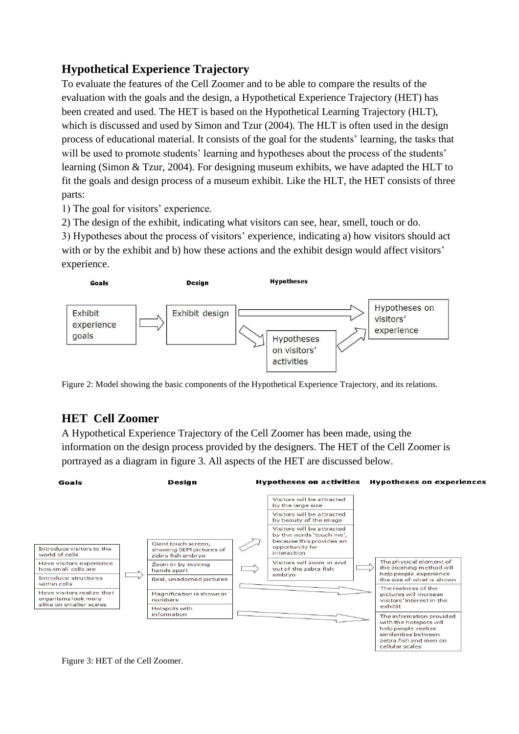# **Hypothetical Experience Trajectory**

To evaluate the features of the Cell Zoomer and to be able to compare the results of the evaluation with the goals and the design, a Hypothetical Experience Trajectory (HET) has been created and used. The HET is based on the Hypothetical Learning Trajectory (HLT), which is discussed and used by Simon and Tzur (2004). The HLT is often used in the design process of educational material. It consists of the goal for the students' learning, the tasks that will be used to promote students' learning and hypotheses about the process of the students' learning (Simon & Tzur, 2004). For designing museum exhibits, we have adapted the HLT to fit the goals and design process of a museum exhibit. Like the HLT, the HET consists of three parts:

1) The goal for visitors' experience.

2) The design of the exhibit, indicating what visitors can see, hear, smell, touch or do.

3) Hypotheses about the process of visitors' experience, indicating a) how visitors should act with or by the exhibit and b) how these actions and the exhibit design would affect visitors' experience.



Figure 2: Model showing the basic components of the Hypothetical Experience Trajectory, and its relations.

# **HET Cell Zoomer**

A Hypothetical Experience Trajectory of the Cell Zoomer has been made, using the information on the design process provided by the designers. The HET of the Cell Zoomer is portrayed as a diagram in figure 3. All aspects of the HET are discussed below.



Figure 3: HET of the Cell Zoomer.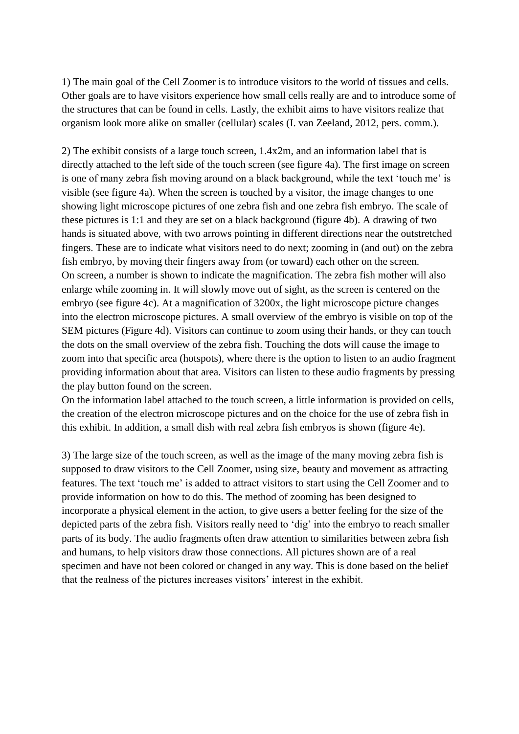1) The main goal of the Cell Zoomer is to introduce visitors to the world of tissues and cells. Other goals are to have visitors experience how small cells really are and to introduce some of the structures that can be found in cells. Lastly, the exhibit aims to have visitors realize that organism look more alike on smaller (cellular) scales (I. van Zeeland, 2012, pers. comm.).

2) The exhibit consists of a large touch screen, 1.4x2m, and an information label that is directly attached to the left side of the touch screen (see figure 4a). The first image on screen is one of many zebra fish moving around on a black background, while the text 'touch me' is visible (see figure 4a). When the screen is touched by a visitor, the image changes to one showing light microscope pictures of one zebra fish and one zebra fish embryo. The scale of these pictures is 1:1 and they are set on a black background (figure 4b). A drawing of two hands is situated above, with two arrows pointing in different directions near the outstretched fingers. These are to indicate what visitors need to do next; zooming in (and out) on the zebra fish embryo, by moving their fingers away from (or toward) each other on the screen. On screen, a number is shown to indicate the magnification. The zebra fish mother will also enlarge while zooming in. It will slowly move out of sight, as the screen is centered on the embryo (see figure 4c). At a magnification of 3200x, the light microscope picture changes into the electron microscope pictures. A small overview of the embryo is visible on top of the SEM pictures (Figure 4d). Visitors can continue to zoom using their hands, or they can touch the dots on the small overview of the zebra fish. Touching the dots will cause the image to zoom into that specific area (hotspots), where there is the option to listen to an audio fragment providing information about that area. Visitors can listen to these audio fragments by pressing the play button found on the screen.

On the information label attached to the touch screen, a little information is provided on cells, the creation of the electron microscope pictures and on the choice for the use of zebra fish in this exhibit. In addition, a small dish with real zebra fish embryos is shown (figure 4e).

3) The large size of the touch screen, as well as the image of the many moving zebra fish is supposed to draw visitors to the Cell Zoomer, using size, beauty and movement as attracting features. The text 'touch me' is added to attract visitors to start using the Cell Zoomer and to provide information on how to do this. The method of zooming has been designed to incorporate a physical element in the action, to give users a better feeling for the size of the depicted parts of the zebra fish. Visitors really need to 'dig' into the embryo to reach smaller parts of its body. The audio fragments often draw attention to similarities between zebra fish and humans, to help visitors draw those connections. All pictures shown are of a real specimen and have not been colored or changed in any way. This is done based on the belief that the realness of the pictures increases visitors' interest in the exhibit.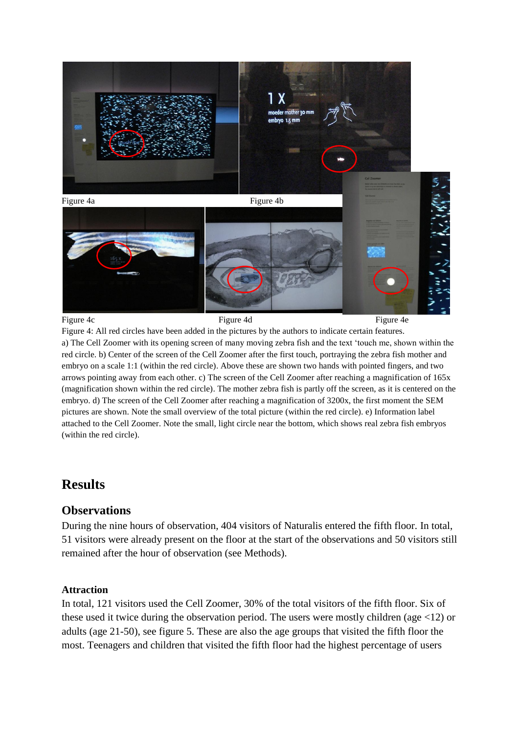

Figure 4: All red circles have been added in the pictures by the authors to indicate certain features. a) The Cell Zoomer with its opening screen of many moving zebra fish and the text 'touch me, shown within the red circle. b) Center of the screen of the Cell Zoomer after the first touch, portraying the zebra fish mother and embryo on a scale 1:1 (within the red circle). Above these are shown two hands with pointed fingers, and two arrows pointing away from each other. c) The screen of the Cell Zoomer after reaching a magnification of 165x (magnification shown within the red circle). The mother zebra fish is partly off the screen, as it is centered on the embryo. d) The screen of the Cell Zoomer after reaching a magnification of 3200x, the first moment the SEM pictures are shown. Note the small overview of the total picture (within the red circle). e) Information label attached to the Cell Zoomer. Note the small, light circle near the bottom, which shows real zebra fish embryos (within the red circle).

# **Results**

### **Observations**

During the nine hours of observation, 404 visitors of Naturalis entered the fifth floor. In total, 51 visitors were already present on the floor at the start of the observations and 50 visitors still remained after the hour of observation (see Methods).

### **Attraction**

In total, 121 visitors used the Cell Zoomer, 30% of the total visitors of the fifth floor. Six of these used it twice during the observation period. The users were mostly children (age  $\langle 12 \rangle$ ) or adults (age 21-50), see figure 5. These are also the age groups that visited the fifth floor the most. Teenagers and children that visited the fifth floor had the highest percentage of users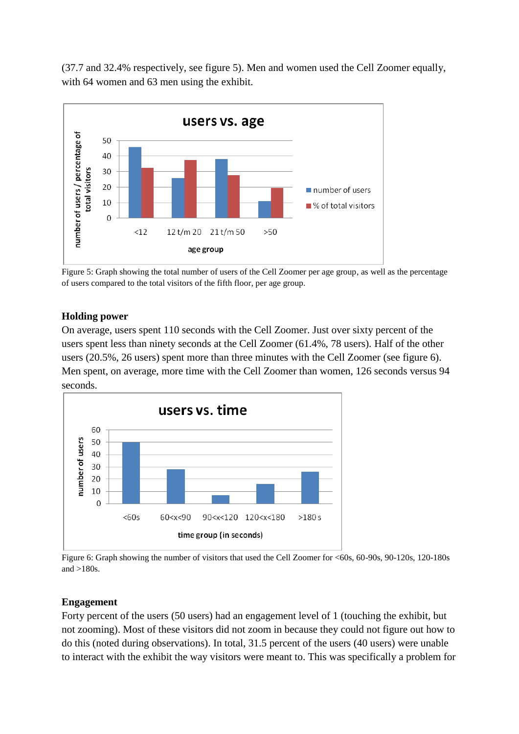(37.7 and 32.4% respectively, see figure 5). Men and women used the Cell Zoomer equally, with 64 women and 63 men using the exhibit.



Figure 5: Graph showing the total number of users of the Cell Zoomer per age group, as well as the percentage of users compared to the total visitors of the fifth floor, per age group.

### **Holding power**

On average, users spent 110 seconds with the Cell Zoomer. Just over sixty percent of the users spent less than ninety seconds at the Cell Zoomer (61.4%, 78 users). Half of the other users (20.5%, 26 users) spent more than three minutes with the Cell Zoomer (see figure 6). Men spent, on average, more time with the Cell Zoomer than women, 126 seconds versus 94 seconds.



Figure 6: Graph showing the number of visitors that used the Cell Zoomer for <60s, 60-90s, 90-120s, 120-180s and  $>180s$ .

### **Engagement**

Forty percent of the users (50 users) had an engagement level of 1 (touching the exhibit, but not zooming). Most of these visitors did not zoom in because they could not figure out how to do this (noted during observations). In total, 31.5 percent of the users (40 users) were unable to interact with the exhibit the way visitors were meant to. This was specifically a problem for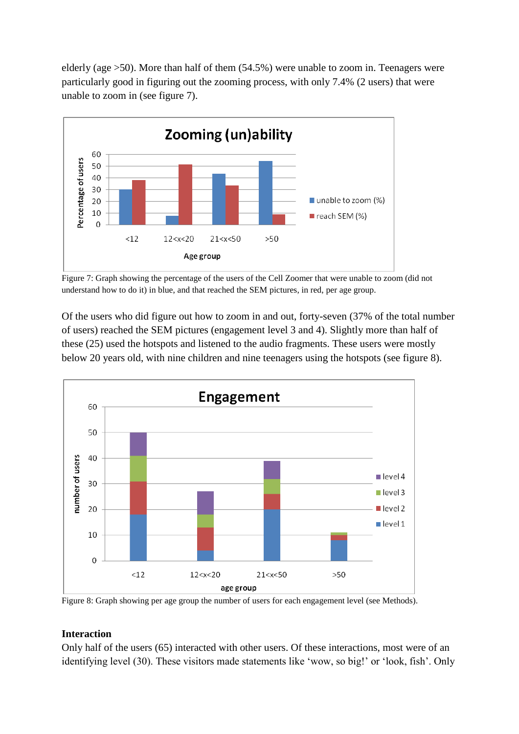elderly (age >50). More than half of them (54.5%) were unable to zoom in. Teenagers were particularly good in figuring out the zooming process, with only 7.4% (2 users) that were unable to zoom in (see figure 7).



Figure 7: Graph showing the percentage of the users of the Cell Zoomer that were unable to zoom (did not understand how to do it) in blue, and that reached the SEM pictures, in red, per age group.

Of the users who did figure out how to zoom in and out, forty-seven (37% of the total number of users) reached the SEM pictures (engagement level 3 and 4). Slightly more than half of these (25) used the hotspots and listened to the audio fragments. These users were mostly below 20 years old, with nine children and nine teenagers using the hotspots (see figure 8).



Figure 8: Graph showing per age group the number of users for each engagement level (see Methods).

### **Interaction**

Only half of the users (65) interacted with other users. Of these interactions, most were of an identifying level (30). These visitors made statements like 'wow, so big!' or 'look, fish'. Only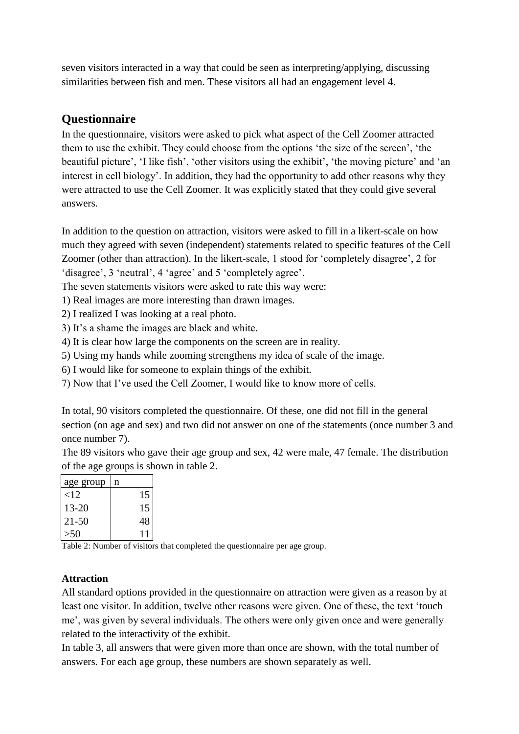seven visitors interacted in a way that could be seen as interpreting/applying, discussing similarities between fish and men. These visitors all had an engagement level 4.

### **Questionnaire**

In the questionnaire, visitors were asked to pick what aspect of the Cell Zoomer attracted them to use the exhibit. They could choose from the options 'the size of the screen', 'the beautiful picture', 'I like fish', 'other visitors using the exhibit', 'the moving picture' and 'an interest in cell biology'. In addition, they had the opportunity to add other reasons why they were attracted to use the Cell Zoomer. It was explicitly stated that they could give several answers.

In addition to the question on attraction, visitors were asked to fill in a likert-scale on how much they agreed with seven (independent) statements related to specific features of the Cell Zoomer (other than attraction). In the likert-scale, 1 stood for 'completely disagree', 2 for 'disagree', 3 'neutral', 4 'agree' and 5 'completely agree'.

The seven statements visitors were asked to rate this way were:

- 1) Real images are more interesting than drawn images.
- 2) I realized I was looking at a real photo.
- 3) It's a shame the images are black and white.
- 4) It is clear how large the components on the screen are in reality.
- 5) Using my hands while zooming strengthens my idea of scale of the image.
- 6) I would like for someone to explain things of the exhibit.
- 7) Now that I've used the Cell Zoomer, I would like to know more of cells.

In total, 90 visitors completed the questionnaire. Of these, one did not fill in the general section (on age and sex) and two did not answer on one of the statements (once number 3 and once number 7).

The 89 visitors who gave their age group and sex, 42 were male, 47 female. The distribution of the age groups is shown in table 2.

| age group | n  |
|-----------|----|
| <12       | 15 |
| 13-20     | 15 |
| $21 - 50$ | 48 |
| >50       |    |

Table 2: Number of visitors that completed the questionnaire per age group.

### **Attraction**

All standard options provided in the questionnaire on attraction were given as a reason by at least one visitor. In addition, twelve other reasons were given. One of these, the text 'touch me', was given by several individuals. The others were only given once and were generally related to the interactivity of the exhibit.

In table 3, all answers that were given more than once are shown, with the total number of answers. For each age group, these numbers are shown separately as well.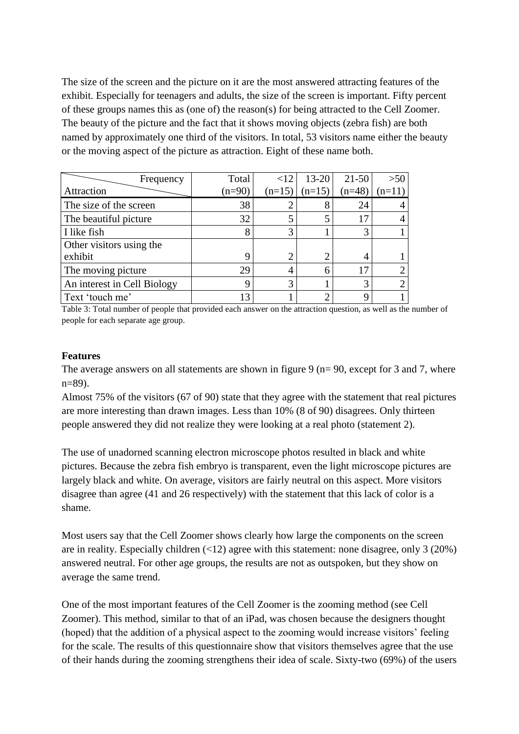The size of the screen and the picture on it are the most answered attracting features of the exhibit. Especially for teenagers and adults, the size of the screen is important. Fifty percent of these groups names this as (one of) the reason(s) for being attracted to the Cell Zoomer. The beauty of the picture and the fact that it shows moving objects (zebra fish) are both named by approximately one third of the visitors. In total, 53 visitors name either the beauty or the moving aspect of the picture as attraction. Eight of these name both.

| Frequency                   | Total    | <12      | 13-20    | $21 - 50$ | >50      |
|-----------------------------|----------|----------|----------|-----------|----------|
| Attraction                  | $(n=90)$ | $(n=15)$ | $(n=15)$ | $(n=48)$  | $(n=11)$ |
| The size of the screen      | 38       |          |          | 24        |          |
| The beautiful picture       | 32       |          |          | 17        |          |
| I like fish                 | 8        | 3        |          |           |          |
| Other visitors using the    |          |          |          |           |          |
| exhibit                     | 9        |          |          |           |          |
| The moving picture          | 29       |          |          |           |          |
| An interest in Cell Biology | 9        | 3        |          |           |          |
| Text 'touch me'             | 13       |          |          |           |          |

Table 3: Total number of people that provided each answer on the attraction question, as well as the number of people for each separate age group.

#### **Features**

The average answers on all statements are shown in figure 9 ( $n=90$ , except for 3 and 7, where n=89).

Almost 75% of the visitors (67 of 90) state that they agree with the statement that real pictures are more interesting than drawn images. Less than 10% (8 of 90) disagrees. Only thirteen people answered they did not realize they were looking at a real photo (statement 2).

The use of unadorned scanning electron microscope photos resulted in black and white pictures. Because the zebra fish embryo is transparent, even the light microscope pictures are largely black and white. On average, visitors are fairly neutral on this aspect. More visitors disagree than agree (41 and 26 respectively) with the statement that this lack of color is a shame.

Most users say that the Cell Zoomer shows clearly how large the components on the screen are in reality. Especially children  $(\langle 12 \rangle)$  agree with this statement: none disagree, only 3 (20%) answered neutral. For other age groups, the results are not as outspoken, but they show on average the same trend.

One of the most important features of the Cell Zoomer is the zooming method (see Cell Zoomer). This method, similar to that of an iPad, was chosen because the designers thought (hoped) that the addition of a physical aspect to the zooming would increase visitors' feeling for the scale. The results of this questionnaire show that visitors themselves agree that the use of their hands during the zooming strengthens their idea of scale. Sixty-two (69%) of the users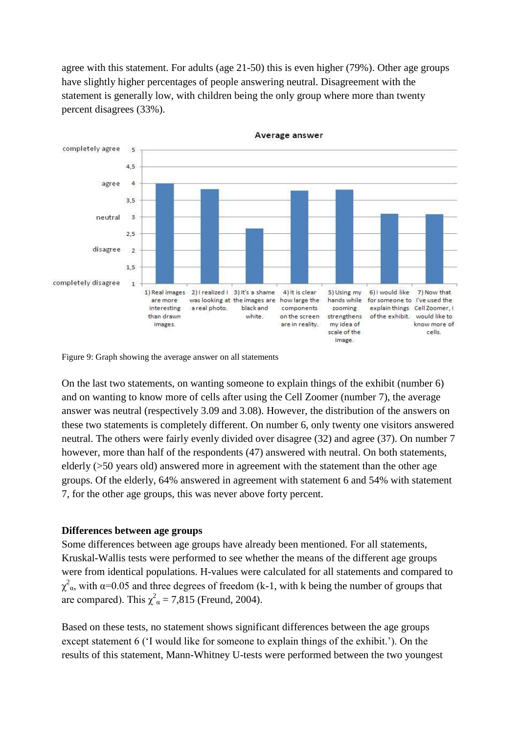agree with this statement. For adults (age 21-50) this is even higher (79%). Other age groups have slightly higher percentages of people answering neutral. Disagreement with the statement is generally low, with children being the only group where more than twenty percent disagrees (33%).



Average answer

Figure 9: Graph showing the average answer on all statements

On the last two statements, on wanting someone to explain things of the exhibit (number 6) and on wanting to know more of cells after using the Cell Zoomer (number 7), the average answer was neutral (respectively 3.09 and 3.08). However, the distribution of the answers on these two statements is completely different. On number 6, only twenty one visitors answered neutral. The others were fairly evenly divided over disagree (32) and agree (37). On number 7 however, more than half of the respondents (47) answered with neutral. On both statements, elderly (>50 years old) answered more in agreement with the statement than the other age groups. Of the elderly, 64% answered in agreement with statement 6 and 54% with statement 7, for the other age groups, this was never above forty percent.

#### **Differences between age groups**

Some differences between age groups have already been mentioned. For all statements, Kruskal-Wallis tests were performed to see whether the means of the different age groups were from identical populations. H-values were calculated for all statements and compared to  $\chi^2_{\alpha}$ , with  $\alpha$ =0.05 and three degrees of freedom (k-1, with k being the number of groups that are compared). This  $\chi^2_{\alpha} = 7,815$  (Freund, 2004).

Based on these tests, no statement shows significant differences between the age groups except statement 6 ('I would like for someone to explain things of the exhibit.'). On the results of this statement, Mann-Whitney U-tests were performed between the two youngest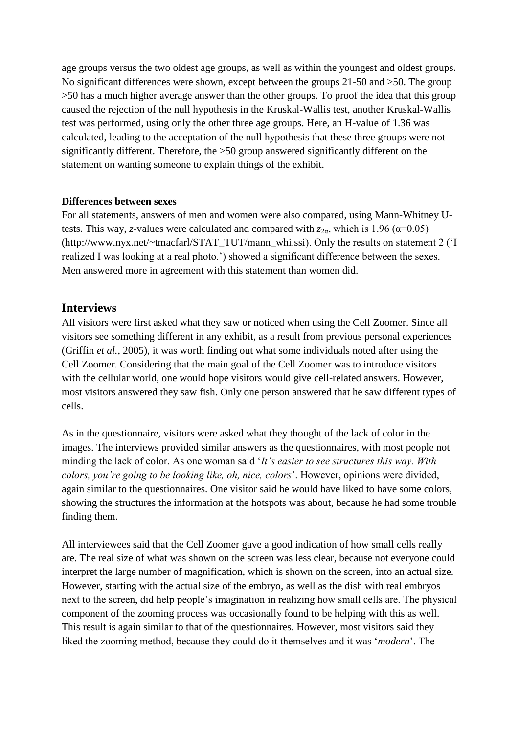age groups versus the two oldest age groups, as well as within the youngest and oldest groups. No significant differences were shown, except between the groups 21-50 and >50. The group >50 has a much higher average answer than the other groups. To proof the idea that this group caused the rejection of the null hypothesis in the Kruskal-Wallis test, another Kruskal-Wallis test was performed, using only the other three age groups. Here, an H-value of 1.36 was calculated, leading to the acceptation of the null hypothesis that these three groups were not significantly different. Therefore, the >50 group answered significantly different on the statement on wanting someone to explain things of the exhibit.

#### **Differences between sexes**

For all statements, answers of men and women were also compared, using Mann-Whitney Utests. This way, *z*-values were calculated and compared with  $z_{2\alpha}$ , which is 1.96 ( $\alpha$ =0.05) (http://www.nyx.net/~tmacfarl/STAT\_TUT/mann\_whi.ssi). Only the results on statement 2 ('I realized I was looking at a real photo.') showed a significant difference between the sexes. Men answered more in agreement with this statement than women did.

### **Interviews**

All visitors were first asked what they saw or noticed when using the Cell Zoomer. Since all visitors see something different in any exhibit, as a result from previous personal experiences (Griffin *et al.*, 2005), it was worth finding out what some individuals noted after using the Cell Zoomer. Considering that the main goal of the Cell Zoomer was to introduce visitors with the cellular world, one would hope visitors would give cell-related answers. However, most visitors answered they saw fish. Only one person answered that he saw different types of cells.

As in the questionnaire, visitors were asked what they thought of the lack of color in the images. The interviews provided similar answers as the questionnaires, with most people not minding the lack of color. As one woman said '*It's easier to see structures this way. With colors, you're going to be looking like, oh, nice, colors*'. However, opinions were divided, again similar to the questionnaires. One visitor said he would have liked to have some colors, showing the structures the information at the hotspots was about, because he had some trouble finding them.

All interviewees said that the Cell Zoomer gave a good indication of how small cells really are. The real size of what was shown on the screen was less clear, because not everyone could interpret the large number of magnification, which is shown on the screen, into an actual size. However, starting with the actual size of the embryo, as well as the dish with real embryos next to the screen, did help people's imagination in realizing how small cells are. The physical component of the zooming process was occasionally found to be helping with this as well. This result is again similar to that of the questionnaires. However, most visitors said they liked the zooming method, because they could do it themselves and it was '*modern*'. The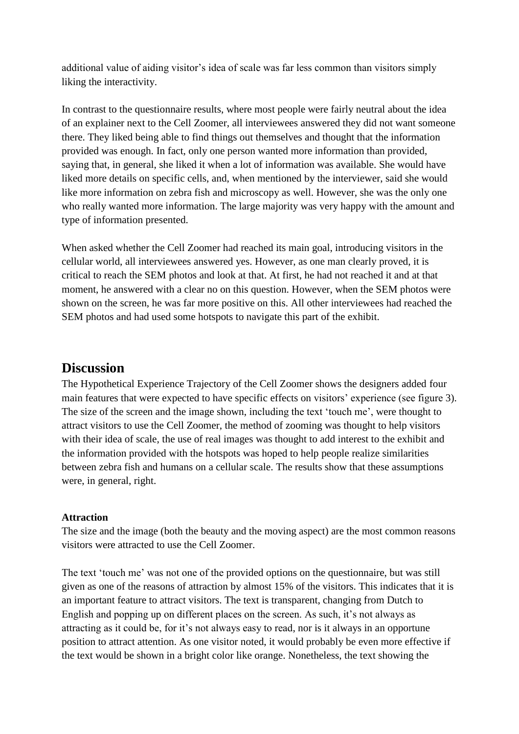additional value of aiding visitor's idea of scale was far less common than visitors simply liking the interactivity.

In contrast to the questionnaire results, where most people were fairly neutral about the idea of an explainer next to the Cell Zoomer, all interviewees answered they did not want someone there. They liked being able to find things out themselves and thought that the information provided was enough. In fact, only one person wanted more information than provided, saying that, in general, she liked it when a lot of information was available. She would have liked more details on specific cells, and, when mentioned by the interviewer, said she would like more information on zebra fish and microscopy as well. However, she was the only one who really wanted more information. The large majority was very happy with the amount and type of information presented.

When asked whether the Cell Zoomer had reached its main goal, introducing visitors in the cellular world, all interviewees answered yes. However, as one man clearly proved, it is critical to reach the SEM photos and look at that. At first, he had not reached it and at that moment, he answered with a clear no on this question. However, when the SEM photos were shown on the screen, he was far more positive on this. All other interviewees had reached the SEM photos and had used some hotspots to navigate this part of the exhibit.

# **Discussion**

The Hypothetical Experience Trajectory of the Cell Zoomer shows the designers added four main features that were expected to have specific effects on visitors' experience (see figure 3). The size of the screen and the image shown, including the text 'touch me', were thought to attract visitors to use the Cell Zoomer, the method of zooming was thought to help visitors with their idea of scale, the use of real images was thought to add interest to the exhibit and the information provided with the hotspots was hoped to help people realize similarities between zebra fish and humans on a cellular scale. The results show that these assumptions were, in general, right.

### **Attraction**

The size and the image (both the beauty and the moving aspect) are the most common reasons visitors were attracted to use the Cell Zoomer.

The text 'touch me' was not one of the provided options on the questionnaire, but was still given as one of the reasons of attraction by almost 15% of the visitors. This indicates that it is an important feature to attract visitors. The text is transparent, changing from Dutch to English and popping up on different places on the screen. As such, it's not always as attracting as it could be, for it's not always easy to read, nor is it always in an opportune position to attract attention. As one visitor noted, it would probably be even more effective if the text would be shown in a bright color like orange. Nonetheless, the text showing the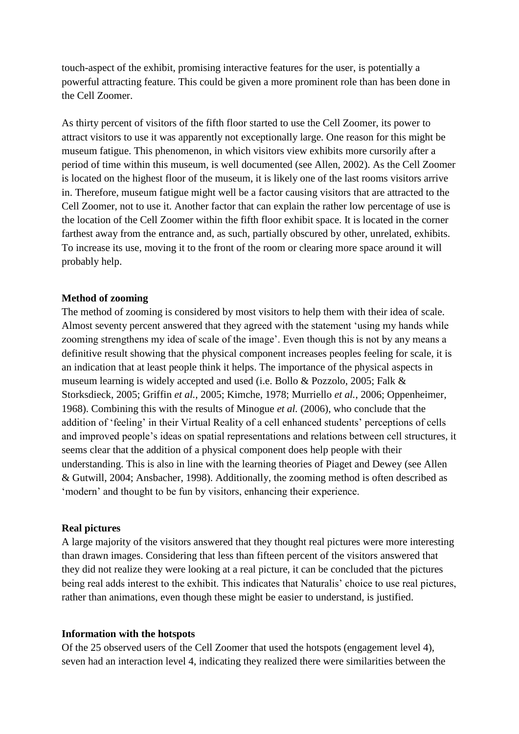touch-aspect of the exhibit, promising interactive features for the user, is potentially a powerful attracting feature. This could be given a more prominent role than has been done in the Cell Zoomer.

As thirty percent of visitors of the fifth floor started to use the Cell Zoomer, its power to attract visitors to use it was apparently not exceptionally large. One reason for this might be museum fatigue. This phenomenon, in which visitors view exhibits more cursorily after a period of time within this museum, is well documented (see Allen, 2002). As the Cell Zoomer is located on the highest floor of the museum, it is likely one of the last rooms visitors arrive in. Therefore, museum fatigue might well be a factor causing visitors that are attracted to the Cell Zoomer, not to use it. Another factor that can explain the rather low percentage of use is the location of the Cell Zoomer within the fifth floor exhibit space. It is located in the corner farthest away from the entrance and, as such, partially obscured by other, unrelated, exhibits. To increase its use, moving it to the front of the room or clearing more space around it will probably help.

#### **Method of zooming**

The method of zooming is considered by most visitors to help them with their idea of scale. Almost seventy percent answered that they agreed with the statement 'using my hands while zooming strengthens my idea of scale of the image'. Even though this is not by any means a definitive result showing that the physical component increases peoples feeling for scale, it is an indication that at least people think it helps. The importance of the physical aspects in museum learning is widely accepted and used (i.e. Bollo & Pozzolo, 2005; Falk & Storksdieck, 2005; Griffin *et al.*, 2005; Kimche, 1978; Murriello *et al.*, 2006; Oppenheimer, 1968). Combining this with the results of Minogue *et al.* (2006), who conclude that the addition of 'feeling' in their Virtual Reality of a cell enhanced students' perceptions of cells and improved people's ideas on spatial representations and relations between cell structures, it seems clear that the addition of a physical component does help people with their understanding. This is also in line with the learning theories of Piaget and Dewey (see Allen & Gutwill, 2004; Ansbacher, 1998). Additionally, the zooming method is often described as 'modern' and thought to be fun by visitors, enhancing their experience.

#### **Real pictures**

A large majority of the visitors answered that they thought real pictures were more interesting than drawn images. Considering that less than fifteen percent of the visitors answered that they did not realize they were looking at a real picture, it can be concluded that the pictures being real adds interest to the exhibit. This indicates that Naturalis' choice to use real pictures, rather than animations, even though these might be easier to understand, is justified.

#### **Information with the hotspots**

Of the 25 observed users of the Cell Zoomer that used the hotspots (engagement level 4), seven had an interaction level 4, indicating they realized there were similarities between the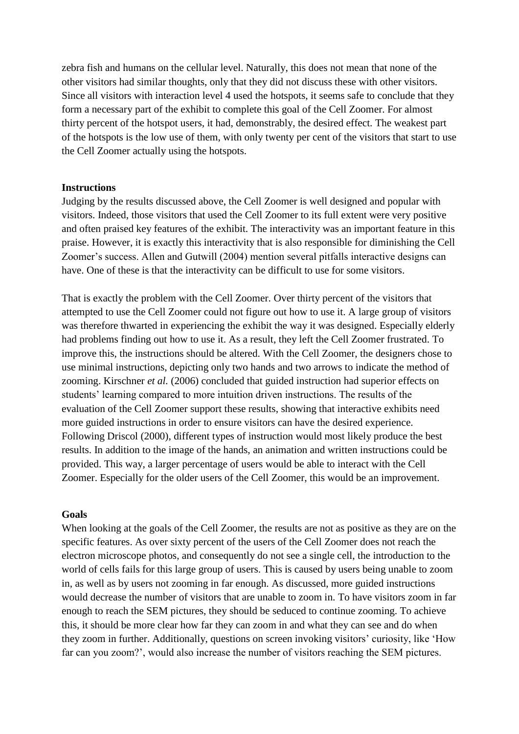zebra fish and humans on the cellular level. Naturally, this does not mean that none of the other visitors had similar thoughts, only that they did not discuss these with other visitors. Since all visitors with interaction level 4 used the hotspots, it seems safe to conclude that they form a necessary part of the exhibit to complete this goal of the Cell Zoomer. For almost thirty percent of the hotspot users, it had, demonstrably, the desired effect. The weakest part of the hotspots is the low use of them, with only twenty per cent of the visitors that start to use the Cell Zoomer actually using the hotspots.

#### **Instructions**

Judging by the results discussed above, the Cell Zoomer is well designed and popular with visitors. Indeed, those visitors that used the Cell Zoomer to its full extent were very positive and often praised key features of the exhibit. The interactivity was an important feature in this praise. However, it is exactly this interactivity that is also responsible for diminishing the Cell Zoomer's success. Allen and Gutwill (2004) mention several pitfalls interactive designs can have. One of these is that the interactivity can be difficult to use for some visitors.

That is exactly the problem with the Cell Zoomer. Over thirty percent of the visitors that attempted to use the Cell Zoomer could not figure out how to use it. A large group of visitors was therefore thwarted in experiencing the exhibit the way it was designed. Especially elderly had problems finding out how to use it. As a result, they left the Cell Zoomer frustrated. To improve this, the instructions should be altered. With the Cell Zoomer, the designers chose to use minimal instructions, depicting only two hands and two arrows to indicate the method of zooming. Kirschner *et al.* (2006) concluded that guided instruction had superior effects on students' learning compared to more intuition driven instructions. The results of the evaluation of the Cell Zoomer support these results, showing that interactive exhibits need more guided instructions in order to ensure visitors can have the desired experience. Following Driscol (2000), different types of instruction would most likely produce the best results. In addition to the image of the hands, an animation and written instructions could be provided. This way, a larger percentage of users would be able to interact with the Cell Zoomer. Especially for the older users of the Cell Zoomer, this would be an improvement.

#### **Goals**

When looking at the goals of the Cell Zoomer, the results are not as positive as they are on the specific features. As over sixty percent of the users of the Cell Zoomer does not reach the electron microscope photos, and consequently do not see a single cell, the introduction to the world of cells fails for this large group of users. This is caused by users being unable to zoom in, as well as by users not zooming in far enough. As discussed, more guided instructions would decrease the number of visitors that are unable to zoom in. To have visitors zoom in far enough to reach the SEM pictures, they should be seduced to continue zooming. To achieve this, it should be more clear how far they can zoom in and what they can see and do when they zoom in further. Additionally, questions on screen invoking visitors' curiosity, like 'How far can you zoom?', would also increase the number of visitors reaching the SEM pictures.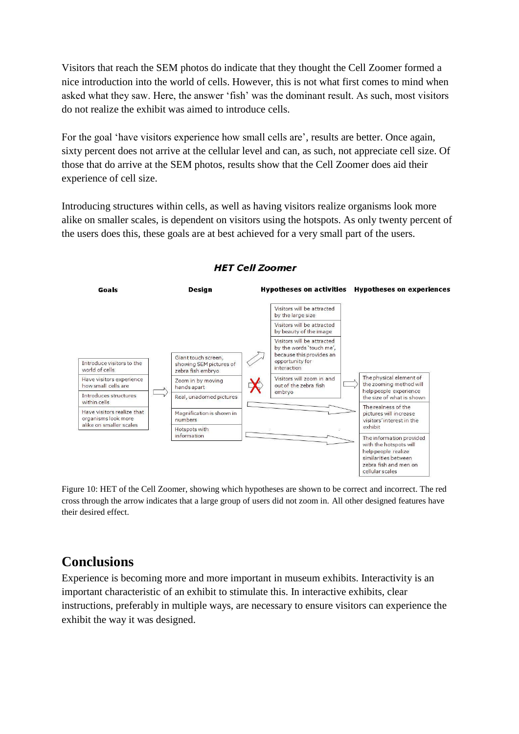Visitors that reach the SEM photos do indicate that they thought the Cell Zoomer formed a nice introduction into the world of cells. However, this is not what first comes to mind when asked what they saw. Here, the answer 'fish' was the dominant result. As such, most visitors do not realize the exhibit was aimed to introduce cells.

For the goal 'have visitors experience how small cells are', results are better. Once again, sixty percent does not arrive at the cellular level and can, as such, not appreciate cell size. Of those that do arrive at the SEM photos, results show that the Cell Zoomer does aid their experience of cell size.

Introducing structures within cells, as well as having visitors realize organisms look more alike on smaller scales, is dependent on visitors using the hotspots. As only twenty percent of the users does this, these goals are at best achieved for a very small part of the users.



### **HET Cell Zoomer**

Figure 10: HET of the Cell Zoomer, showing which hypotheses are shown to be correct and incorrect. The red cross through the arrow indicates that a large group of users did not zoom in. All other designed features have their desired effect.

# **Conclusions**

Experience is becoming more and more important in museum exhibits. Interactivity is an important characteristic of an exhibit to stimulate this. In interactive exhibits, clear instructions, preferably in multiple ways, are necessary to ensure visitors can experience the exhibit the way it was designed.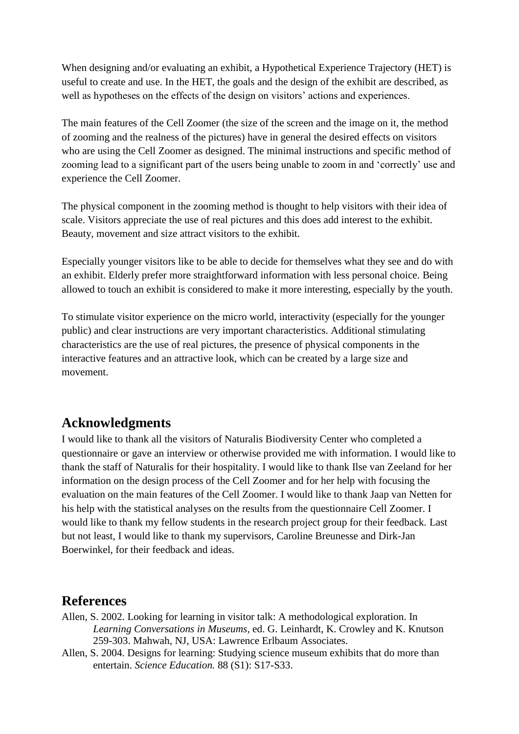When designing and/or evaluating an exhibit, a Hypothetical Experience Trajectory (HET) is useful to create and use. In the HET, the goals and the design of the exhibit are described, as well as hypotheses on the effects of the design on visitors' actions and experiences.

The main features of the Cell Zoomer (the size of the screen and the image on it, the method of zooming and the realness of the pictures) have in general the desired effects on visitors who are using the Cell Zoomer as designed. The minimal instructions and specific method of zooming lead to a significant part of the users being unable to zoom in and 'correctly' use and experience the Cell Zoomer.

The physical component in the zooming method is thought to help visitors with their idea of scale. Visitors appreciate the use of real pictures and this does add interest to the exhibit. Beauty, movement and size attract visitors to the exhibit.

Especially younger visitors like to be able to decide for themselves what they see and do with an exhibit. Elderly prefer more straightforward information with less personal choice. Being allowed to touch an exhibit is considered to make it more interesting, especially by the youth.

To stimulate visitor experience on the micro world, interactivity (especially for the younger public) and clear instructions are very important characteristics. Additional stimulating characteristics are the use of real pictures, the presence of physical components in the interactive features and an attractive look, which can be created by a large size and movement.

# **Acknowledgments**

I would like to thank all the visitors of Naturalis Biodiversity Center who completed a questionnaire or gave an interview or otherwise provided me with information. I would like to thank the staff of Naturalis for their hospitality. I would like to thank Ilse van Zeeland for her information on the design process of the Cell Zoomer and for her help with focusing the evaluation on the main features of the Cell Zoomer. I would like to thank Jaap van Netten for his help with the statistical analyses on the results from the questionnaire Cell Zoomer. I would like to thank my fellow students in the research project group for their feedback. Last but not least, I would like to thank my supervisors, Caroline Breunesse and Dirk-Jan Boerwinkel, for their feedback and ideas.

# **References**

- Allen, S. 2002. Looking for learning in visitor talk: A methodological exploration. In *Learning Conversations in Museums*, ed. G. Leinhardt, K. Crowley and K. Knutson 259-303. Mahwah, NJ, USA: Lawrence Erlbaum Associates.
- Allen, S. 2004. Designs for learning: Studying science museum exhibits that do more than entertain. *Science Education.* 88 (S1): S17-S33.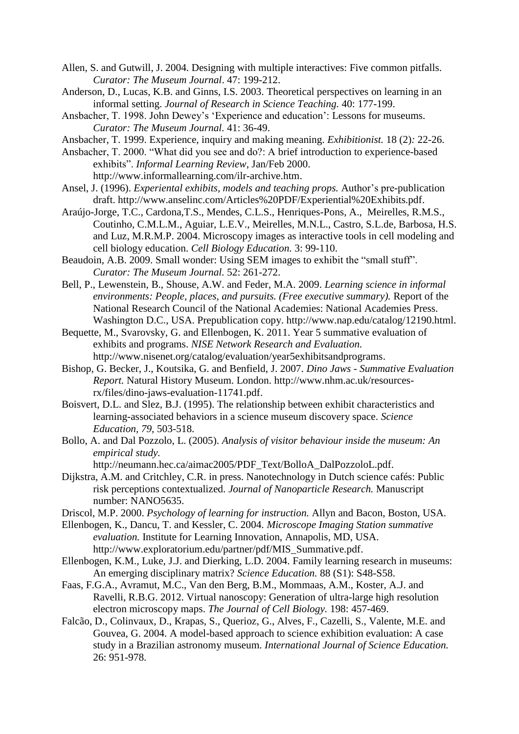- Allen, S. and Gutwill, J. 2004. Designing with multiple interactives: Five common pitfalls. *Curator: The Museum Journal*. 47: 199-212.
- Anderson, D., Lucas, K.B. and Ginns, I.S. 2003. Theoretical perspectives on learning in an informal setting. *Journal of Research in Science Teaching.* 40: 177-199.
- Ansbacher, T. 1998. John Dewey's 'Experience and education': Lessons for museums. *Curator: The Museum Journal.* 41: 36-49.
- Ansbacher, T. 1999. Experience, inquiry and making meaning. *Exhibitionist.* 18 (2)*:* 22-26.
- Ansbacher, T. 2000. "What did you see and do?: A brief introduction to experience-based exhibits". *Informal Learning Review*, Jan/Feb 2000. http://www.informallearning.com/ilr-archive.htm.
- Ansel, J. (1996). *Experiental exhibits, models and teaching props.* Author's pre-publication draft. http://www.anselinc.com/Articles%20PDF/Experiential%20Exhibits.pdf.
- Araújo-Jorge, T.C., Cardona,T.S., Mendes, C.L.S., Henriques-Pons, A., Meirelles, R.M.S., Coutinho, C.M.L.M., Aguiar, L.E.V., Meirelles, M.N.L., Castro, S.L.de, Barbosa, H.S. and Luz, M.R.M.P. 2004. Microscopy images as interactive tools in cell modeling and cell biology education. *Cell Biology Education.* 3: 99-110.
- Beaudoin, A.B. 2009. Small wonder: Using SEM images to exhibit the "small stuff". *Curator: The Museum Journal.* 52: 261-272.
- Bell, P., Lewenstein, B., Shouse, A.W. and Feder, M.A. 2009. *Learning science in informal environments: People, places, and pursuits. (Free executive summary).* Report of the National Research Council of the National Academies: National Academies Press. Washington D.C., USA. Prepublication copy. http://www.nap.edu/catalog/12190.html.
- Bequette, M., Svarovsky, G. and Ellenbogen, K. 2011. Year 5 summative evaluation of exhibits and programs. *NISE Network Research and Evaluation.*  http://www.nisenet.org/catalog/evaluation/year5exhibitsandprograms.
- Bishop, G. Becker, J., Koutsika, G. and Benfield, J. 2007. *Dino Jaws - Summative Evaluation Report.* Natural History Museum. London. [http://www.nhm.ac.uk/resources](http://www.nhm.ac.uk/resources-)rx/files/dino-jaws-evaluation-11741.pdf.
- Boisvert, D.L. and Slez, B.J. (1995). The relationship between exhibit characteristics and learning-associated behaviors in a science museum discovery space. *Science Education, 79,* 503-518.
- Bollo, A. and Dal Pozzolo, L. (2005). *Analysis of visitor behaviour inside the museum: An empirical study.*

http://neumann.hec.ca/aimac2005/PDF\_Text/BolloA\_DalPozzoloL.pdf.

- Dijkstra, A.M. and Critchley, C.R. in press. Nanotechnology in Dutch science cafés: Public risk perceptions contextualized. *Journal of Nanoparticle Research.* Manuscript number: NANO5635.
- Driscol, M.P. 2000. *Psychology of learning for instruction.* Allyn and Bacon, Boston, USA.
- Ellenbogen, K., Dancu, T. and Kessler, C. 2004. *Microscope Imaging Station summative evaluation.* Institute for Learning Innovation, Annapolis, MD, USA. http://www.exploratorium.edu/partner/pdf/MIS\_Summative.pdf.
- Ellenbogen, K.M., Luke, J.J. and Dierking, L.D. 2004. Family learning research in museums: An emerging disciplinary matrix? *Science Education.* 88 (S1): S48-S58.
- Faas, F.G.A., Avramut, M.C., Van den Berg, B.M., Mommaas, A.M., Koster, A.J. and Ravelli, R.B.G. 2012. Virtual nanoscopy: Generation of ultra-large high resolution electron microscopy maps. *The Journal of Cell Biology.* 198: 457-469.
- Falcão, D., Colinvaux, D., Krapas, S., Querioz, G., Alves, F., Cazelli, S., Valente, M.E. and Gouvea, G. 2004. A model-based approach to science exhibition evaluation: A case study in a Brazilian astronomy museum. *International Journal of Science Education.* 26: 951-978.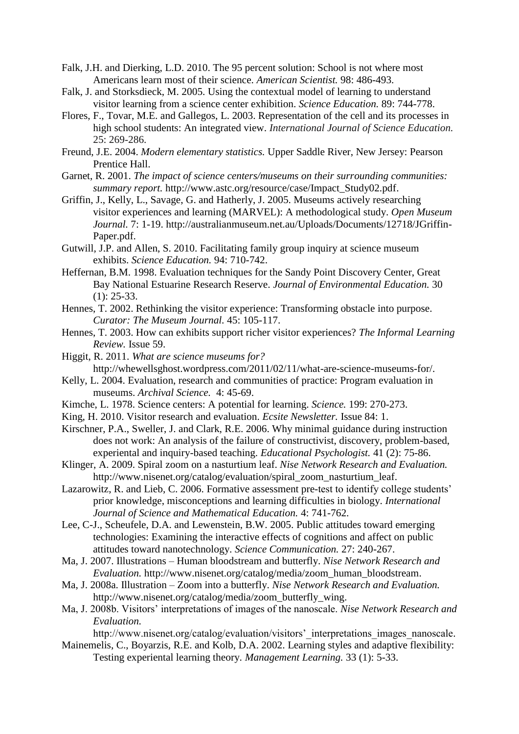- Falk, J.H. and Dierking, L.D. 2010. The 95 percent solution: School is not where most Americans learn most of their science. *American Scientist.* 98: 486-493.
- Falk, J. and Storksdieck, M. 2005. Using the contextual model of learning to understand visitor learning from a science center exhibition. *Science Education.* 89: 744-778.
- Flores, F., Tovar, M.E. and Gallegos, L. 2003. Representation of the cell and its processes in high school students: An integrated view. *International Journal of Science Education.* 25: 269-286.
- Freund, J.E. 2004. *Modern elementary statistics.* Upper Saddle River, New Jersey: Pearson Prentice Hall.
- Garnet, R. 2001. *The impact of science centers/museums on their surrounding communities: summary report.* http://www.astc.org/resource/case/Impact\_Study02.pdf.
- Griffin, J., Kelly, L., Savage, G. and Hatherly, J. 2005. Museums actively researching visitor experiences and learning (MARVEL): A methodological study. *Open Museum Journal.* 7: 1-19.<http://australianmuseum.net.au/Uploads/Documents/12718/JGriffin->Paper.pdf.
- Gutwill, J.P. and Allen, S. 2010. Facilitating family group inquiry at science museum exhibits. *Science Education.* 94: 710-742.
- Heffernan, B.M. 1998. Evaluation techniques for the Sandy Point Discovery Center, Great Bay National Estuarine Research Reserve. *Journal of Environmental Education.* 30 (1): 25-33.
- Hennes, T. 2002. Rethinking the visitor experience: Transforming obstacle into purpose. *Curator: The Museum Journal.* 45: 105-117.
- Hennes, T. 2003. How can exhibits support richer visitor experiences? *The Informal Learning Review.* Issue 59.
- Higgit, R. 2011. *What are science museums for?* http://whewellsghost.wordpress.com/2011/02/11/what-are-science-museums-for/.
- Kelly, L. 2004. Evaluation, research and communities of practice: Program evaluation in museums. *Archival Science.* 4: 45-69.
- Kimche, L. 1978. Science centers: A potential for learning. *Science.* 199: 270-273.
- King, H. 2010. Visitor research and evaluation. *Ecsite Newsletter.* Issue 84: 1.
- Kirschner, P.A., Sweller, J. and Clark, R.E. 2006. Why minimal guidance during instruction does not work: An analysis of the failure of constructivist, discovery, problem-based, experiental and inquiry-based teaching. *Educational Psychologist.* 41 (2): 75-86.
- Klinger, A. 2009. Spiral zoom on a nasturtium leaf. *Nise Network Research and Evaluation.*  http://www.nisenet.org/catalog/evaluation/spiral\_zoom\_nasturtium\_leaf.
- Lazarowitz, R. and Lieb, C. 2006. Formative assessment pre-test to identify college students' prior knowledge, misconceptions and learning difficulties in biology. *International Journal of Science and Mathematical Education.* 4: 741-762.
- Lee, C-J., Scheufele, D.A. and Lewenstein, B.W. 2005. Public attitudes toward emerging technologies: Examining the interactive effects of cognitions and affect on public attitudes toward nanotechnology. *Science Communication.* 27: 240-267.
- Ma, J. 2007. Illustrations Human bloodstream and butterfly. *Nise Network Research and Evaluation.* http://www.nisenet.org/catalog/media/zoom\_human\_bloodstream.
- Ma, J. 2008a. Illustration Zoom into a butterfly. *Nise Network Research and Evaluation.* http://www.nisenet.org/catalog/media/zoom\_butterfly\_wing.
- Ma, J. 2008b. Visitors' interpretations of images of the nanoscale. *Nise Network Research and Evaluation.*

http://www.nisenet.org/catalog/evaluation/visitors' interpretations images nanoscale.

Mainemelis, C., Boyarzis, R.E. and Kolb, D.A. 2002. Learning styles and adaptive flexibility: Testing experiental learning theory. *Management Learning.* 33 (1): 5-33.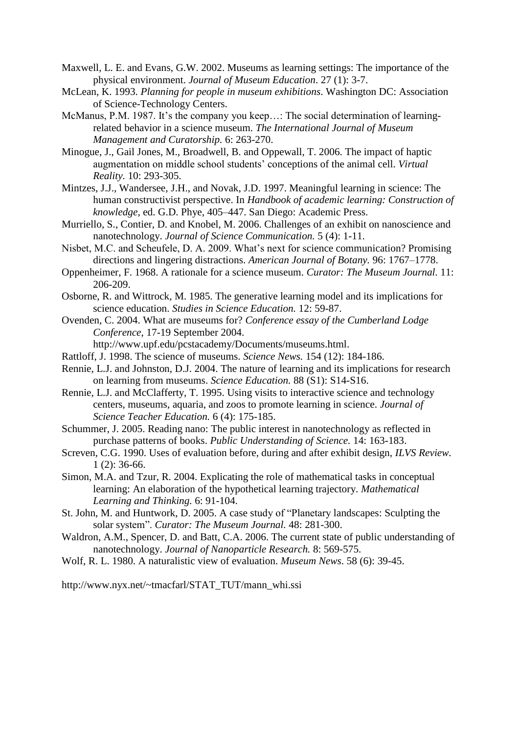- Maxwell, L. E. and Evans, G.W. 2002. Museums as learning settings: The importance of the physical environment. *Journal of Museum Education*. 27 (1): 3-7.
- McLean, K. 1993. *Planning for people in museum exhibitions*. Washington DC: Association of Science-Technology Centers.
- McManus, P.M. 1987. It's the company you keep…: The social determination of learningrelated behavior in a science museum. *The International Journal of Museum Management and Curatorship.* 6: 263-270.
- Minogue, J., Gail Jones, M., Broadwell, B. and Oppewall, T. 2006. The impact of haptic augmentation on middle school students' conceptions of the animal cell. *Virtual Reality.* 10: 293-305.
- Mintzes, J.J., Wandersee, J.H., and Novak, J.D. 1997. Meaningful learning in science: The human constructivist perspective. In *Handbook of academic learning: Construction of knowledge,* ed. G.D. Phye, 405–447. San Diego: Academic Press.
- Murriello, S., Contier, D. and Knobel, M. 2006. Challenges of an exhibit on nanoscience and nanotechnology. *Journal of Science Communication.* 5 (4): 1-11.
- Nisbet, M.C. and Scheufele, D. A. 2009. What's next for science communication? Promising directions and lingering distractions. *American Journal of Botany.* 96: 1767–1778.
- Oppenheimer, F. 1968. A rationale for a science museum. *Curator: The Museum Journal.* 11: 206-209.
- Osborne, R. and Wittrock, M. 1985. The generative learning model and its implications for science education. *Studies in Science Education.* 12: 59-87.
- Ovenden, C. 2004. What are museums for? *Conference essay of the Cumberland Lodge Conference*, 17-19 September 2004.

http://www.upf.edu/pcstacademy/Documents/museums.html.

- Rattloff, J. 1998. The science of museums. *Science News.* 154 (12): 184-186.
- Rennie, L.J. and Johnston, D.J. 2004. The nature of learning and its implications for research on learning from museums. *Science Education.* 88 (S1): S14-S16.
- Rennie, L.J. and McClafferty, T. 1995. Using visits to interactive science and technology centers, museums, aquaria, and zoos to promote learning in science. *Journal of Science Teacher Education.* 6 (4): 175-185.
- Schummer, J. 2005. Reading nano: The public interest in nanotechnology as reflected in purchase patterns of books. *Public Understanding of Science.* 14: 163-183.
- Screven, C.G. 1990. Uses of evaluation before, during and after exhibit design, *ILVS Review.* 1 (2): 36-66.
- Simon, M.A. and Tzur, R. 2004. Explicating the role of mathematical tasks in conceptual learning: An elaboration of the hypothetical learning trajectory. *Mathematical Learning and Thinking.* 6: 91-104.
- St. John, M. and Huntwork, D. 2005. A case study of "Planetary landscapes: Sculpting the solar system". *Curator: The Museum Journal.* 48: 281-300.
- Waldron, A.M., Spencer, D. and Batt, C.A. 2006. The current state of public understanding of nanotechnology. *Journal of Nanoparticle Research.* 8: 569-575.
- Wolf, R. L. 1980. A naturalistic view of evaluation. *Museum News*. 58 (6): 39-45.

http://www.nyx.net/~tmacfarl/STAT\_TUT/mann\_whi.ssi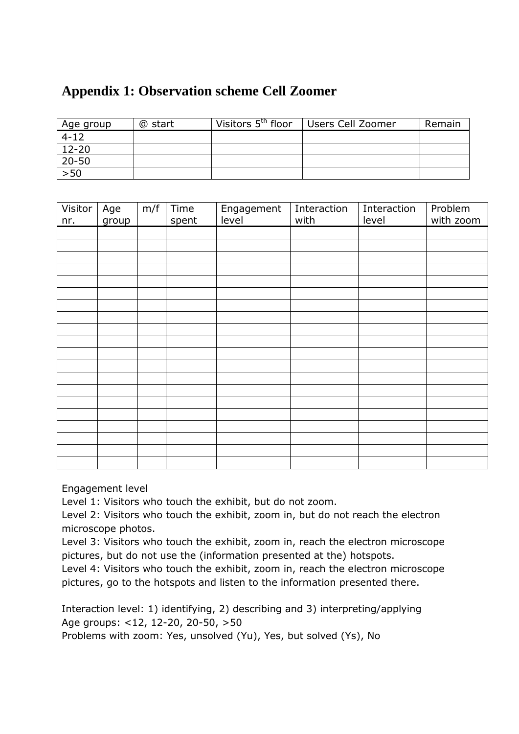# **Appendix 1: Observation scheme Cell Zoomer**

| Age group | @ start | Visitors 5 <sup>th</sup> floor | Users Cell Zoomer | Remain |
|-----------|---------|--------------------------------|-------------------|--------|
| $4 - 12$  |         |                                |                   |        |
| $12 - 20$ |         |                                |                   |        |
| $20 - 50$ |         |                                |                   |        |
| >50       |         |                                |                   |        |

| Visitor<br>nr. | Age<br>group | m/f | Time<br>spent | Engagement<br>level | Interaction<br>with | Interaction<br>level | Problem<br>with zoom |
|----------------|--------------|-----|---------------|---------------------|---------------------|----------------------|----------------------|
|                |              |     |               |                     |                     |                      |                      |
|                |              |     |               |                     |                     |                      |                      |
|                |              |     |               |                     |                     |                      |                      |
|                |              |     |               |                     |                     |                      |                      |
|                |              |     |               |                     |                     |                      |                      |
|                |              |     |               |                     |                     |                      |                      |
|                |              |     |               |                     |                     |                      |                      |
|                |              |     |               |                     |                     |                      |                      |
|                |              |     |               |                     |                     |                      |                      |
|                |              |     |               |                     |                     |                      |                      |
|                |              |     |               |                     |                     |                      |                      |
|                |              |     |               |                     |                     |                      |                      |
|                |              |     |               |                     |                     |                      |                      |
|                |              |     |               |                     |                     |                      |                      |
|                |              |     |               |                     |                     |                      |                      |
|                |              |     |               |                     |                     |                      |                      |
|                |              |     |               |                     |                     |                      |                      |
|                |              |     |               |                     |                     |                      |                      |
|                |              |     |               |                     |                     |                      |                      |

Engagement level

Level 1: Visitors who touch the exhibit, but do not zoom.

Level 2: Visitors who touch the exhibit, zoom in, but do not reach the electron microscope photos.

Level 3: Visitors who touch the exhibit, zoom in, reach the electron microscope pictures, but do not use the (information presented at the) hotspots.

Level 4: Visitors who touch the exhibit, zoom in, reach the electron microscope pictures, go to the hotspots and listen to the information presented there.

Interaction level: 1) identifying, 2) describing and 3) interpreting/applying Age groups: <12, 12-20, 20-50, >50

Problems with zoom: Yes, unsolved (Yu), Yes, but solved (Ys), No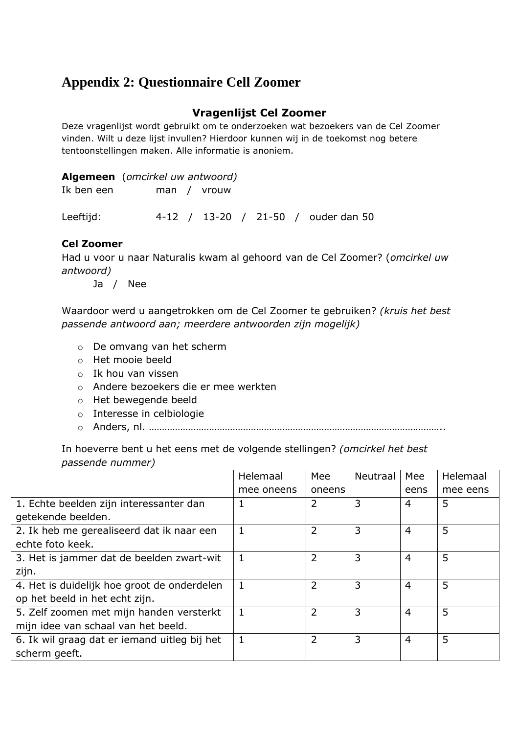# **Appendix 2: Questionnaire Cell Zoomer**

# **Vragenlijst Cel Zoomer**

Deze vragenlijst wordt gebruikt om te onderzoeken wat bezoekers van de Cel Zoomer vinden. Wilt u deze lijst invullen? Hierdoor kunnen wij in de toekomst nog betere tentoonstellingen maken. Alle informatie is anoniem.

|            | <b>Algemeen</b> ( <i>omcirkel uw antwoord</i> ) |  |
|------------|-------------------------------------------------|--|
| Ik ben een | man / vrouw                                     |  |
|            |                                                 |  |

Leeftijd: 4-12 / 13-20 / 21-50 / ouder dan 50

### **Cel Zoomer**

Had u voor u naar Naturalis kwam al gehoord van de Cel Zoomer? (*omcirkel uw antwoord)*

Ja / Nee

Waardoor werd u aangetrokken om de Cel Zoomer te gebruiken? *(kruis het best passende antwoord aan; meerdere antwoorden zijn mogelijk)*

- o De omvang van het scherm
- o Het mooie beeld
- o Ik hou van vissen
- o Andere bezoekers die er mee werkten
- o Het bewegende beeld
- o Interesse in celbiologie
- o Anders, nl. …………………………………………………………………………………………………..

In hoeverre bent u het eens met de volgende stellingen? *(omcirkel het best passende nummer)*

|                                              | Helemaal   | Mee            | <b>Neutraal</b> | Mee            | Helemaal |
|----------------------------------------------|------------|----------------|-----------------|----------------|----------|
|                                              | mee oneens | oneens         |                 | eens           | mee eens |
| 1. Echte beelden zijn interessanter dan      |            | 2              | 3               | 4              | 5        |
| getekende beelden.                           |            |                |                 |                |          |
| 2. Ik heb me gerealiseerd dat ik naar een    |            | $\overline{2}$ | 3               | $\overline{4}$ | 5        |
| echte foto keek.                             |            |                |                 |                |          |
| 3. Het is jammer dat de beelden zwart-wit    |            | 2              | 3               | $\overline{4}$ | 5        |
| zijn.                                        |            |                |                 |                |          |
| 4. Het is duidelijk hoe groot de onderdelen  |            | 2              | 3               | 4              | 5        |
| op het beeld in het echt zijn.               |            |                |                 |                |          |
| 5. Zelf zoomen met mijn handen versterkt     |            | $\overline{2}$ | 3               | 4              | 5        |
| mijn idee van schaal van het beeld.          |            |                |                 |                |          |
| 6. Ik wil graag dat er iemand uitleg bij het | 1.         | 2              | 3               | $\overline{4}$ | 5        |
| scherm geeft.                                |            |                |                 |                |          |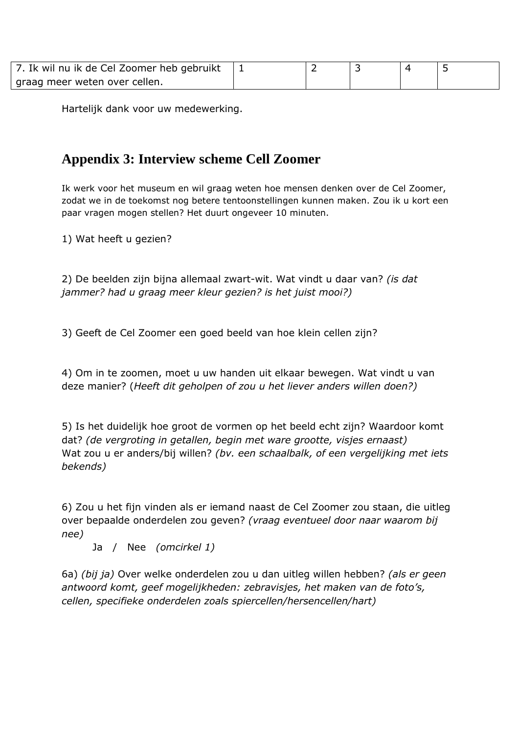| 7. Ik wil nu ik de Cel Zoomer heb gebruikt |  |  |  |
|--------------------------------------------|--|--|--|
| graag meer weten over cellen.              |  |  |  |

Hartelijk dank voor uw medewerking.

# **Appendix 3: Interview scheme Cell Zoomer**

Ik werk voor het museum en wil graag weten hoe mensen denken over de Cel Zoomer, zodat we in de toekomst nog betere tentoonstellingen kunnen maken. Zou ik u kort een paar vragen mogen stellen? Het duurt ongeveer 10 minuten.

1) Wat heeft u gezien?

2) De beelden zijn bijna allemaal zwart-wit. Wat vindt u daar van? *(is dat jammer? had u graag meer kleur gezien? is het juist mooi?)*

3) Geeft de Cel Zoomer een goed beeld van hoe klein cellen zijn?

4) Om in te zoomen, moet u uw handen uit elkaar bewegen. Wat vindt u van deze manier? (*Heeft dit geholpen of zou u het liever anders willen doen?)*

5) Is het duidelijk hoe groot de vormen op het beeld echt zijn? Waardoor komt dat? *(de vergroting in getallen, begin met ware grootte, visjes ernaast)* Wat zou u er anders/bij willen? *(bv. een schaalbalk, of een vergelijking met iets bekends)*

6) Zou u het fijn vinden als er iemand naast de Cel Zoomer zou staan, die uitleg over bepaalde onderdelen zou geven? *(vraag eventueel door naar waarom bij nee)*

Ja / Nee *(omcirkel 1)*

6a) *(bij ja)* Over welke onderdelen zou u dan uitleg willen hebben? *(als er geen antwoord komt, geef mogelijkheden: zebravisjes, het maken van de foto's, cellen, specifieke onderdelen zoals spiercellen/hersencellen/hart)*